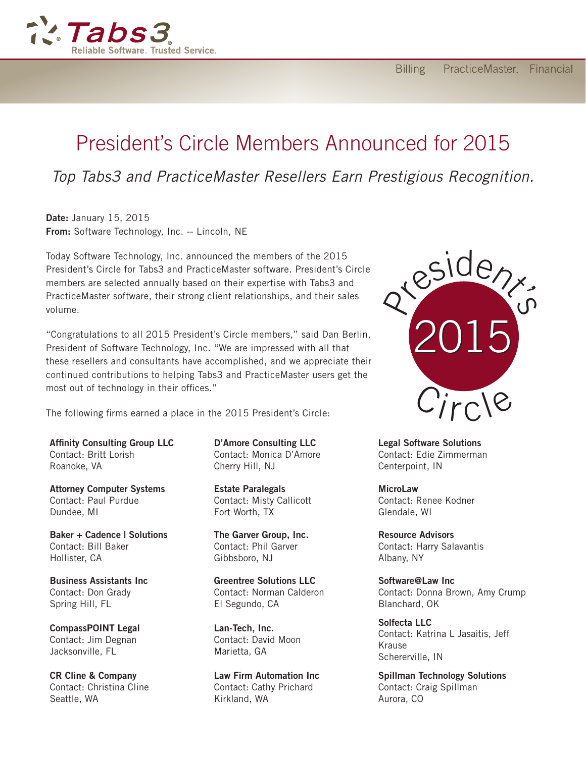

## President's Circle Members Announced for 2015

## *Top Tabs3 and PracticeMaster Resellers Earn Prestigious Recognition.*

Date: January 15, 2015 From: Software Technology, Inc. -- Lincoln, NE

Today Software Technology, Inc. announced the members of the 2015 President's Circle for Tabs3 and PracticeMaster software. President's Circle members are selected annually based on their expertise with Tabs3 and PracticeMaster software, their strong client relationships, and their sales volume.

"Congratulations to all 2015 President's Circle members," said Dan Berlin, President of Software Technology, Inc. "We are impressed with all that these resellers and consultants have accomplished, and we appreciate their continued contributions to helping Tabs3 and PracticeMaster users get the most out of technology in their offices."

The following firms earned a place in the 2015 President's Circle:

Affinity Consulting Group LLC Contact: Britt Lorish Roanoke, VA

Attorney Computer Systems Contact: Paul Purdue Dundee, MI

Baker + Cadence | Solutions Contact: Bill Baker Hollister, CA

Business Assistants Inc Contact: Don Grady Spring Hill, FL

CompassPOINT Legal Contact: Jim Degnan Jacksonville, FL

CR Cline & Company Contact: Christina Cline Seattle, WA

D'Amore Consulting LLC Contact: Monica D'Amore Cherry Hill, NJ

Estate Paralegals Contact: Misty Callicott Fort Worth, TX

The Garver Group, Inc. Contact: Phil Garver Gibbsboro, NJ

Greentree Solutions LLC Contact: Norman Calderon El Segundo, CA

Lan-Tech, Inc. Contact: David Moon Marietta, GA

Law Firm Automation Inc Contact: Cathy Prichard Kirkland, WA



Legal Software Solutions Contact: Edie Zimmerman Centerpoint, IN

**MicroLaw** Contact: Renee Kodner Glendale, WI

Resource Advisors Contact: Harry Salavantis Albany, NY

Software@Law Inc Contact: Donna Brown, Amy Crump Blanchard, OK

Solfecta LLC Contact: Katrina L Jasaitis, Jeff Krause Schererville, IN

Spillman Technology Solutions Contact: Craig Spillman Aurora, CO